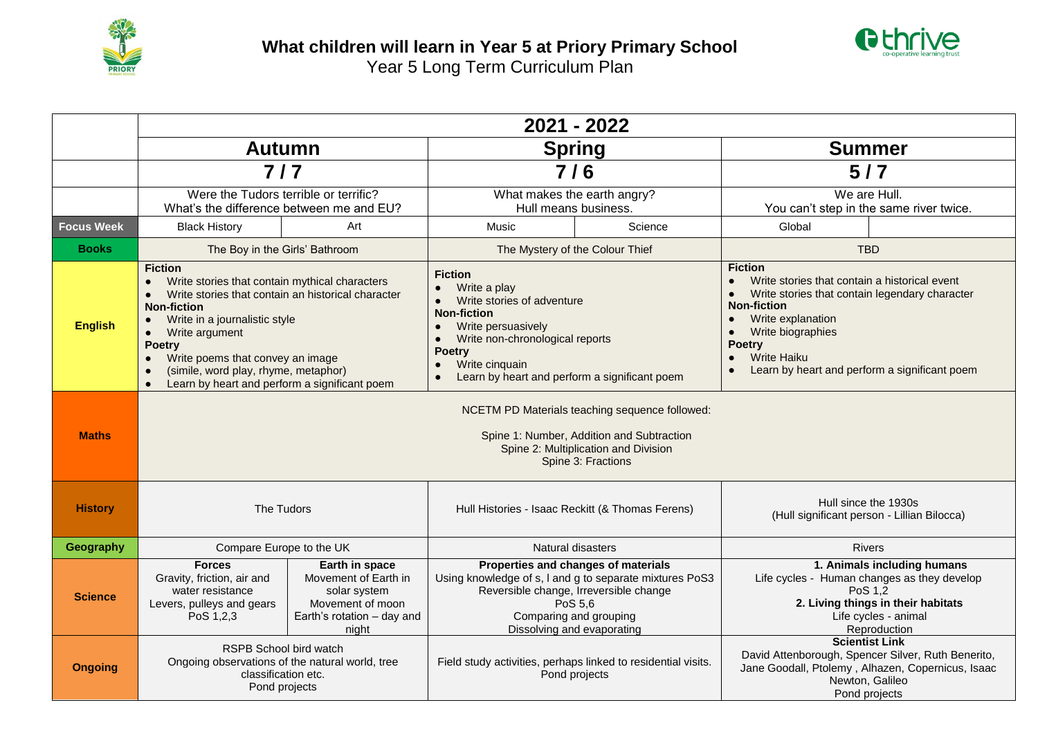



|                   | 2021 - 2022                                                                                                                                                                                                                                                                                                                                                                                                                              |                                                                                                                   |                                                                                                                                                                                                                                              |         |                                                                                                                                                                                                                                                                                                                               |                                                                                                           |  |  |
|-------------------|------------------------------------------------------------------------------------------------------------------------------------------------------------------------------------------------------------------------------------------------------------------------------------------------------------------------------------------------------------------------------------------------------------------------------------------|-------------------------------------------------------------------------------------------------------------------|----------------------------------------------------------------------------------------------------------------------------------------------------------------------------------------------------------------------------------------------|---------|-------------------------------------------------------------------------------------------------------------------------------------------------------------------------------------------------------------------------------------------------------------------------------------------------------------------------------|-----------------------------------------------------------------------------------------------------------|--|--|
|                   | <b>Autumn</b>                                                                                                                                                                                                                                                                                                                                                                                                                            |                                                                                                                   | <b>Spring</b>                                                                                                                                                                                                                                |         | <b>Summer</b>                                                                                                                                                                                                                                                                                                                 |                                                                                                           |  |  |
|                   | $7/7$                                                                                                                                                                                                                                                                                                                                                                                                                                    |                                                                                                                   | 7/6                                                                                                                                                                                                                                          |         | $5/7$                                                                                                                                                                                                                                                                                                                         |                                                                                                           |  |  |
|                   | Were the Tudors terrible or terrific?<br>What's the difference between me and EU?                                                                                                                                                                                                                                                                                                                                                        |                                                                                                                   | What makes the earth angry?<br>Hull means business.                                                                                                                                                                                          |         | We are Hull.<br>You can't step in the same river twice.                                                                                                                                                                                                                                                                       |                                                                                                           |  |  |
| <b>Focus Week</b> | <b>Black History</b>                                                                                                                                                                                                                                                                                                                                                                                                                     | Art                                                                                                               | Music                                                                                                                                                                                                                                        | Science | Global                                                                                                                                                                                                                                                                                                                        |                                                                                                           |  |  |
| <b>Books</b>      | The Boy in the Girls' Bathroom                                                                                                                                                                                                                                                                                                                                                                                                           |                                                                                                                   | The Mystery of the Colour Thief                                                                                                                                                                                                              |         | <b>TBD</b>                                                                                                                                                                                                                                                                                                                    |                                                                                                           |  |  |
| <b>English</b>    | <b>Fiction</b><br>Write stories that contain mythical characters<br>$\bullet$<br>Write stories that contain an historical character<br>$\bullet$<br><b>Non-fiction</b><br>Write in a journalistic style<br>$\bullet$<br>Write argument<br>$\bullet$<br><b>Poetry</b><br>Write poems that convey an image<br>$\bullet$<br>(simile, word play, rhyme, metaphor)<br>$\bullet$<br>Learn by heart and perform a significant poem<br>$\bullet$ |                                                                                                                   | <b>Fiction</b><br>Write a play<br>Write stories of adventure<br><b>Non-fiction</b><br>Write persuasively<br>$\bullet$<br>Write non-chronological reports<br><b>Poetry</b><br>Write cinquain<br>Learn by heart and perform a significant poem |         | <b>Fiction</b><br>Write stories that contain a historical event<br>$\bullet$<br>Write stories that contain legendary character<br>$\bullet$<br><b>Non-fiction</b><br>Write explanation<br>$\bullet$<br>Write biographies<br><b>Poetry</b><br><b>Write Haiku</b><br>$\bullet$<br>Learn by heart and perform a significant poem |                                                                                                           |  |  |
| <b>Maths</b>      | NCETM PD Materials teaching sequence followed:<br>Spine 1: Number, Addition and Subtraction<br>Spine 2: Multiplication and Division<br>Spine 3: Fractions                                                                                                                                                                                                                                                                                |                                                                                                                   |                                                                                                                                                                                                                                              |         |                                                                                                                                                                                                                                                                                                                               |                                                                                                           |  |  |
| <b>History</b>    | The Tudors                                                                                                                                                                                                                                                                                                                                                                                                                               |                                                                                                                   | Hull Histories - Isaac Reckitt (& Thomas Ferens)                                                                                                                                                                                             |         | Hull since the 1930s<br>(Hull significant person - Lillian Bilocca)                                                                                                                                                                                                                                                           |                                                                                                           |  |  |
| Geography         | Compare Europe to the UK                                                                                                                                                                                                                                                                                                                                                                                                                 |                                                                                                                   | Natural disasters                                                                                                                                                                                                                            |         | <b>Rivers</b>                                                                                                                                                                                                                                                                                                                 |                                                                                                           |  |  |
| <b>Science</b>    | <b>Forces</b><br>Gravity, friction, air and<br>water resistance<br>Levers, pulleys and gears<br>PoS 1,2,3                                                                                                                                                                                                                                                                                                                                | Earth in space<br>Movement of Earth in<br>solar system<br>Movement of moon<br>Earth's rotation - day and<br>night | Properties and changes of materials<br>Using knowledge of s, I and g to separate mixtures PoS3<br>Reversible change, Irreversible change<br>PoS 5.6<br>Comparing and grouping<br>Dissolving and evaporating                                  |         | Life cycles - Human changes as they develop<br>PoS 1,2                                                                                                                                                                                                                                                                        | 1. Animals including humans<br>2. Living things in their habitats<br>Life cycles - animal<br>Reproduction |  |  |
| <b>Ongoing</b>    | <b>RSPB School bird watch</b><br>Ongoing observations of the natural world, tree<br>classification etc.<br>Pond projects                                                                                                                                                                                                                                                                                                                 |                                                                                                                   | Field study activities, perhaps linked to residential visits.<br>Pond projects                                                                                                                                                               |         | <b>Scientist Link</b><br>David Attenborough, Spencer Silver, Ruth Benerito,<br>Jane Goodall, Ptolemy, Alhazen, Copernicus, Isaac<br>Newton, Galileo<br>Pond projects                                                                                                                                                          |                                                                                                           |  |  |